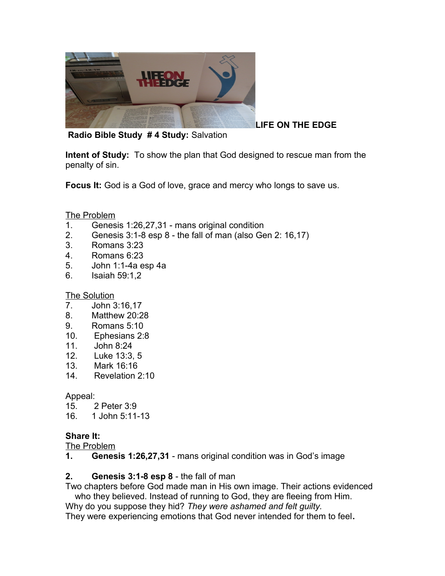

**LIFE ON THE EDGE**

**Radio Bible Study # 4 Study:** Salvation

**Intent of Study:** To show the plan that God designed to rescue man from the penalty of sin.

**Focus It:** God is a God of love, grace and mercy who longs to save us.

### The Problem

- 1. Genesis 1:26,27,31 mans original condition
- 2. Genesis 3:1-8 esp 8 the fall of man (also Gen 2: 16,17)
- 3. Romans 3:23
- 4. Romans 6:23
- 5. John 1:1-4a esp 4a
- 6. Isaiah 59:1,2

The Solution

- 7. John 3:16,17
- 8. Matthew 20:28
- 9. Romans 5:10
- 10. Ephesians 2:8
- 11. John 8:24
- 12. Luke 13:3, 5
- 13. Mark 16:16
- 14. Revelation 2:10

### Appeal:

- 15. 2 Peter 3:9
- 16. 1 John 5:11-13

## **Share It:**

The Problem

**1. Genesis 1:26,27,31** - mans original condition was in God's image

## **2. Genesis 3:1-8 esp 8** - the fall of man

Two chapters before God made man in His own image. Their actions evidenced who they believed. Instead of running to God, they are fleeing from Him.

Why do you suppose they hid? *They were ashamed and felt guilty.*

They were experiencing emotions that God never intended for them to feel**.**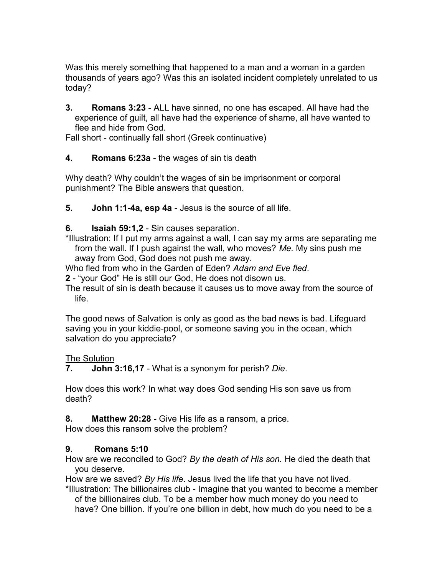Was this merely something that happened to a man and a woman in a garden thousands of years ago? Was this an isolated incident completely unrelated to us today?

**3. Romans 3:23** - ALL have sinned, no one has escaped. All have had the experience of guilt, all have had the experience of shame, all have wanted to flee and hide from God.

Fall short - continually fall short (Greek continuative)

## **4. Romans 6:23a** - the wages of sin tis death

Why death? Why couldn't the wages of sin be imprisonment or corporal punishment? The Bible answers that question.

**5. John 1:1-4a, esp 4a** - Jesus is the source of all life.

**6. Isaiah 59:1,2** - Sin causes separation.

\*Illustration: If I put my arms against a wall, I can say my arms are separating me from the wall. If I push against the wall, who moves? *Me.* My sins push me away from God, God does not push me away.

Who fled from who in the Garden of Eden? *Adam and Eve fled*.

**2** - "your God" He is still our God, He does not disown us.

The result of sin is death because it causes us to move away from the source of life.

The good news of Salvation is only as good as the bad news is bad. Lifeguard saving you in your kiddie-pool, or someone saving you in the ocean, which salvation do you appreciate?

The Solution

**7. John 3:16,17** - What is a synonym for perish? *Die*.

How does this work? In what way does God sending His son save us from death?

**8. Matthew 20:28** - Give His life as a ransom, a price.

How does this ransom solve the problem?

# **9. Romans 5:10**

How are we reconciled to God? *By the death of His son.* He died the death that you deserve.

How are we saved? *By His life*. Jesus lived the life that you have not lived.

\*Illustration: The billionaires club - Imagine that you wanted to become a member of the billionaires club. To be a member how much money do you need to have? One billion. If you're one billion in debt, how much do you need to be a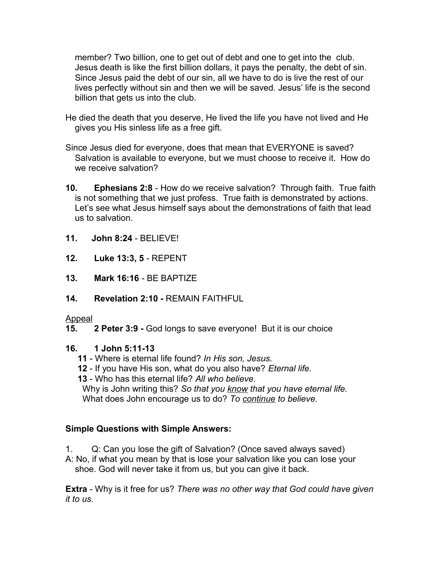member? Two billion, one to get out of debt and one to get into the club. Jesus death is like the first billion dollars, it pays the penalty, the debt of sin. Since Jesus paid the debt of our sin, all we have to do is live the rest of our lives perfectly without sin and then we will be saved. Jesus' life is the second billion that gets us into the club.

- He died the death that you deserve, He lived the life you have not lived and He gives you His sinless life as a free gift.
- Since Jesus died for everyone, does that mean that EVERYONE is saved? Salvation is available to everyone, but we must choose to receive it. How do we receive salvation?
- **10. Ephesians 2:8**  How do we receive salvation? Through faith. True faith is not something that we just profess. True faith is demonstrated by actions. Let's see what Jesus himself says about the demonstrations of faith that lead us to salvation.
- **11. John 8:24**  BELIEVE!
- **12. Luke 13:3, 5** REPENT
- **13. Mark 16:16** BE BAPTIZE
- **14. Revelation 2:10** REMAIN FAITHFUL

### Appeal

**15. 2 Peter 3:9 -** God longs to save everyone! But it is our choice

## **16. 1 John 5:11-13**

- **11** Where is eternal life found? *In His son, Jesus.*
- **12** If you have His son, what do you also have? *Eternal life.*
- **13** Who has this eternal life? *All who believe.*

 Why is John writing this? *So that you know that you have eternal life.*  What does John encourage us to do? *To continue to believe.*

## **Simple Questions with Simple Answers:**

1. Q: Can you lose the gift of Salvation? (Once saved always saved) A: No, if what you mean by that is lose your salvation like you can lose your shoe. God will never take it from us, but you can give it back.

**Extra** - Why is it free for us? *There was no other way that God could have given it to us.*